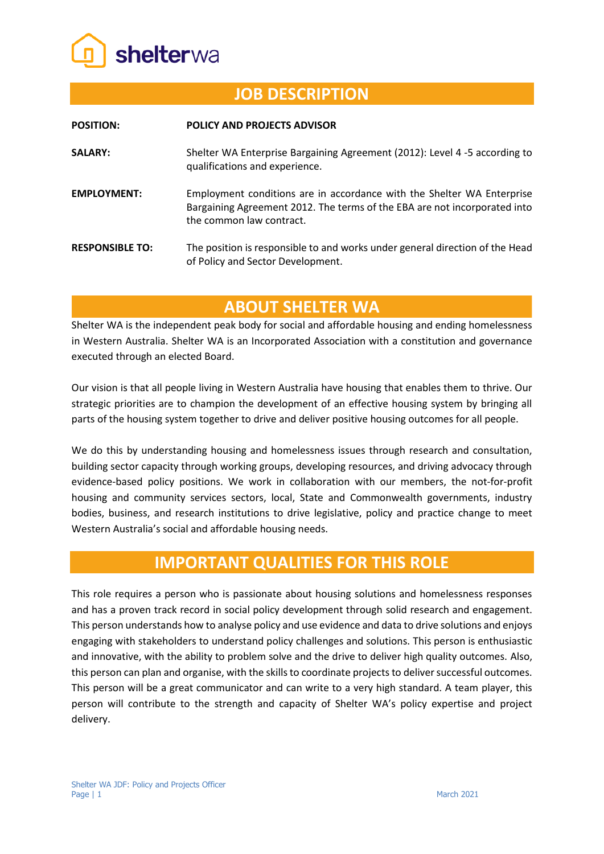

## **JOB DESCRIPTION**

| <b>POSITION:</b>       | <b>POLICY AND PROJECTS ADVISOR</b>                                                                                                                                              |
|------------------------|---------------------------------------------------------------------------------------------------------------------------------------------------------------------------------|
| <b>SALARY:</b>         | Shelter WA Enterprise Bargaining Agreement (2012): Level 4 -5 according to<br>qualifications and experience.                                                                    |
| <b>EMPLOYMENT:</b>     | Employment conditions are in accordance with the Shelter WA Enterprise<br>Bargaining Agreement 2012. The terms of the EBA are not incorporated into<br>the common law contract. |
| <b>RESPONSIBLE TO:</b> | The position is responsible to and works under general direction of the Head<br>of Policy and Sector Development.                                                               |

# **ABOUT SHELTER WA**

Shelter WA is the independent peak body for social and affordable housing and ending homelessness in Western Australia. Shelter WA is an Incorporated Association with a constitution and governance executed through an elected Board.

Our vision is that all people living in Western Australia have housing that enables them to thrive. Our strategic priorities are to champion the development of an effective housing system by bringing all parts of the housing system together to drive and deliver positive housing outcomes for all people.

We do this by understanding housing and homelessness issues through research and consultation, building sector capacity through working groups, developing resources, and driving advocacy through evidence-based policy positions. We work in collaboration with our members, the not-for-profit housing and community services sectors, local, State and Commonwealth governments, industry bodies, business, and research institutions to drive legislative, policy and practice change to meet Western Australia's social and affordable housing needs.

## **IMPORTANT QUALITIES FOR THIS ROLE**

This role requires a person who is passionate about housing solutions and homelessness responses and has a proven track record in social policy development through solid research and engagement. This person understands how to analyse policy and use evidence and data to drive solutions and enjoys engaging with stakeholders to understand policy challenges and solutions. This person is enthusiastic and innovative, with the ability to problem solve and the drive to deliver high quality outcomes. Also, this person can plan and organise, with the skills to coordinate projects to deliver successful outcomes. This person will be a great communicator and can write to a very high standard. A team player, this person will contribute to the strength and capacity of Shelter WA's policy expertise and project delivery.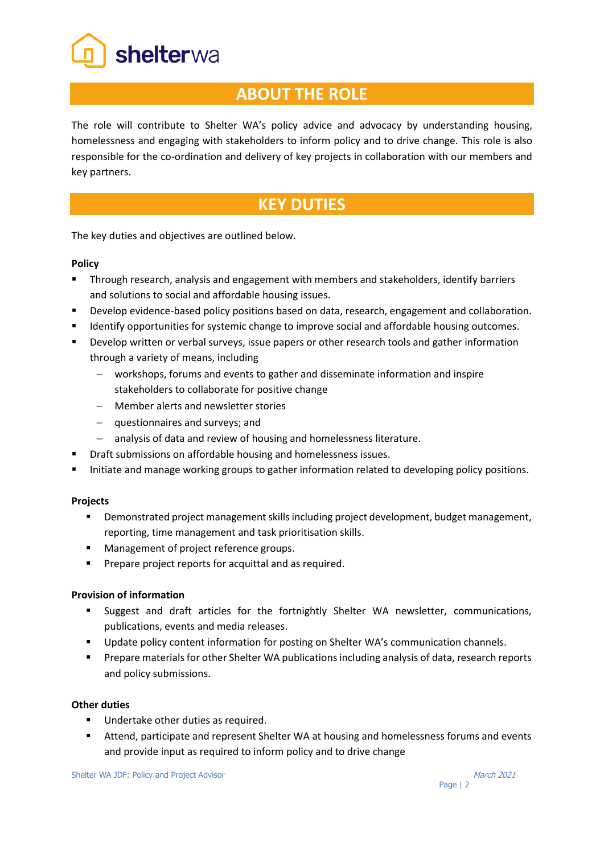shelterwa

## **ABOUT THE ROLE**

The role will contribute to Shelter WA's policy advice and advocacy by understanding housing, homelessness and engaging with stakeholders to inform policy and to drive change. This role is also responsible for the co-ordination and delivery of key projects in collaboration with our members and key partners.

# **KEY DUTIES**

The key duties and objectives are outlined below.

### **Policy**

- Through research, analysis and engagement with members and stakeholders, identify barriers and solutions to social and affordable housing issues.
- Develop evidence-based policy positions based on data, research, engagement and collaboration.
- **■** Identify opportunities for systemic change to improve social and affordable housing outcomes.
- **■** Develop written or verbal surveys, issue papers or other research tools and gather information through a variety of means, including
	- − workshops, forums and events to gather and disseminate information and inspire stakeholders to collaborate for positive change
	- − Member alerts and newsletter stories
	- − questionnaires and surveys; and
	- − analysis of data and review of housing and homelessness literature.
- Draft submissions on affordable housing and homelessness issues.
- Initiate and manage working groups to gather information related to developing policy positions.

### **Projects**

- **•** Demonstrated project management skills including project development, budget management, reporting, time management and task prioritisation skills.
- Management of project reference groups.
- Prepare project reports for acquittal and as required.

### **Provision of information**

- Suggest and draft articles for the fortnightly Shelter WA newsletter, communications, publications, events and media releases.
- **■** Update policy content information for posting on Shelter WA's communication channels.
- Prepare materials for other Shelter WA publications including analysis of data, research reports and policy submissions.

### **Other duties**

- Undertake other duties as required.
- Attend, participate and represent Shelter WA at housing and homelessness forums and events and provide input as required to inform policy and to drive change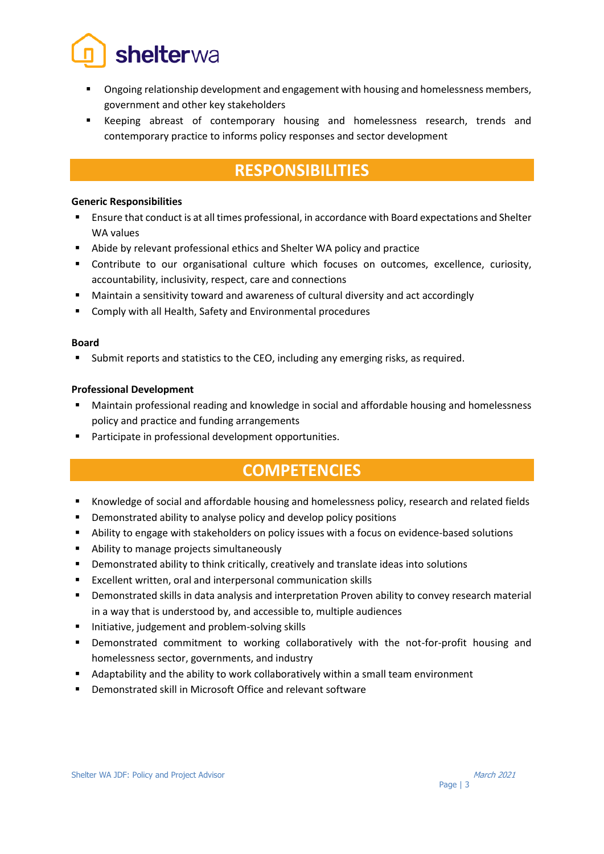

- Ongoing relationship development and engagement with housing and homelessness members, government and other key stakeholders
- Keeping abreast of contemporary housing and homelessness research, trends and contemporary practice to informs policy responses and sector development

# **RESPONSIBILITIES**

#### **Generic Responsibilities**

- Ensure that conduct is at all times professional, in accordance with Board expectations and Shelter WA values
- Abide by relevant professional ethics and Shelter WA policy and practice
- Contribute to our organisational culture which focuses on outcomes, excellence, curiosity, accountability, inclusivity, respect, care and connections
- Maintain a sensitivity toward and awareness of cultural diversity and act accordingly
- Comply with all Health, Safety and Environmental procedures

#### **Board**

■ Submit reports and statistics to the CEO, including any emerging risks, as required.

#### **Professional Development**

- Maintain professional reading and knowledge in social and affordable housing and homelessness policy and practice and funding arrangements
- Participate in professional development opportunities.

## **COMPETENCIES**

- Knowledge of social and affordable housing and homelessness policy, research and related fields
- Demonstrated ability to analyse policy and develop policy positions
- Ability to engage with stakeholders on policy issues with a focus on evidence-based solutions
- Ability to manage projects simultaneously
- **•** Demonstrated ability to think critically, creatively and translate ideas into solutions
- Excellent written, oral and interpersonal communication skills
- **EXEDENT DEMONSTRATED SKILLS IN ADATA SKILLS IN ADATA AND INTERED** Interpretation Proven ability to convey research material in a way that is understood by, and accessible to, multiple audiences
- Initiative, judgement and problem-solving skills
- **•** Demonstrated commitment to working collaboratively with the not-for-profit housing and homelessness sector, governments, and industry
- Adaptability and the ability to work collaboratively within a small team environment
- Demonstrated skill in Microsoft Office and relevant software